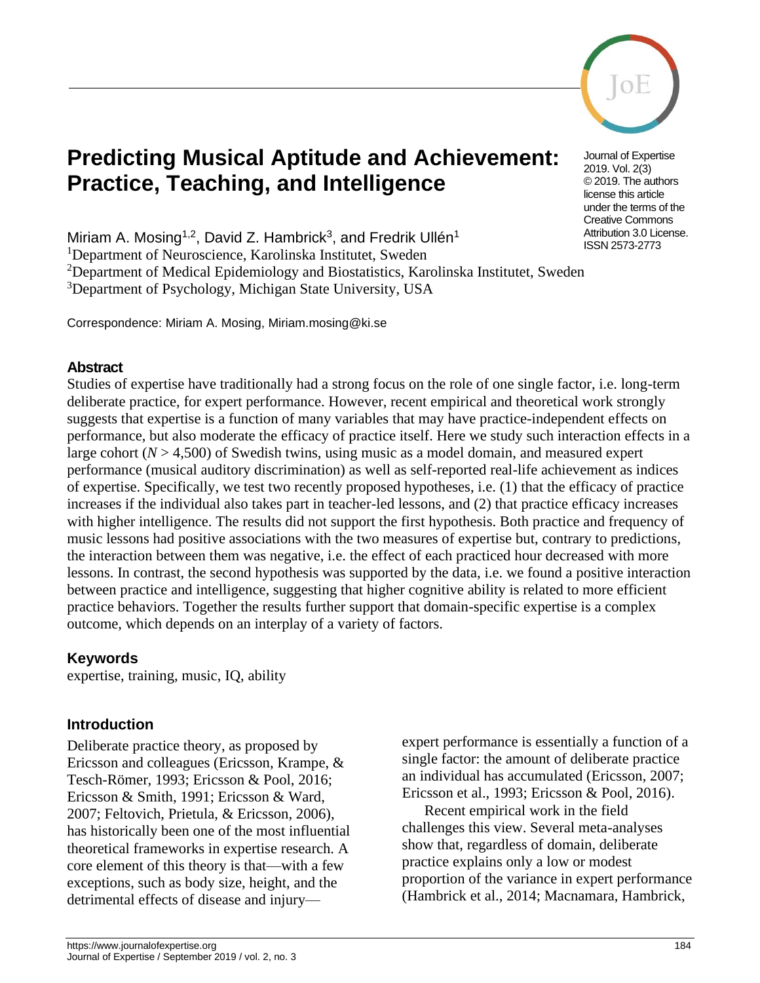

# **Predicting Musical Aptitude and Achievement: Practice, Teaching, and Intelligence**

Journal of Expertise 2019. Vol. 2(3) © 2019. The authors license this article under the terms of the Creative Commons Attribution 3.0 License. ISSN 2573-2773

Miriam A. Mosing<sup>1,2</sup>, David Z. Hambrick<sup>3</sup>, and Fredrik Ullén<sup>1</sup>

<sup>1</sup>Department of Neuroscience, Karolinska Institutet, Sweden

<sup>2</sup>Department of Medical Epidemiology and Biostatistics, Karolinska Institutet, Sweden

<sup>3</sup>Department of Psychology, Michigan State University, USA

Correspondence: Miriam A. Mosing, Miriam.mosing@ki.se

#### **Abstract**

Studies of expertise have traditionally had a strong focus on the role of one single factor, i.e. long-term deliberate practice, for expert performance. However, recent empirical and theoretical work strongly suggests that expertise is a function of many variables that may have practice-independent effects on performance, but also moderate the efficacy of practice itself. Here we study such interaction effects in a large cohort  $(N > 4,500)$  of Swedish twins, using music as a model domain, and measured expert performance (musical auditory discrimination) as well as self-reported real-life achievement as indices of expertise. Specifically, we test two recently proposed hypotheses, i.e. (1) that the efficacy of practice increases if the individual also takes part in teacher-led lessons, and (2) that practice efficacy increases with higher intelligence. The results did not support the first hypothesis. Both practice and frequency of music lessons had positive associations with the two measures of expertise but, contrary to predictions, the interaction between them was negative, i.e. the effect of each practiced hour decreased with more lessons. In contrast, the second hypothesis was supported by the data, i.e. we found a positive interaction between practice and intelligence, suggesting that higher cognitive ability is related to more efficient practice behaviors. Together the results further support that domain-specific expertise is a complex outcome, which depends on an interplay of a variety of factors.

#### **Keywords**

expertise, training, music, IQ, ability

#### **Introduction**

Deliberate practice theory, as proposed by Ericsson and colleagues (Ericsson, Krampe, & Tesch-Römer, 1993; Ericsson & Pool, 2016; Ericsson & Smith, 1991; Ericsson & Ward, 2007; Feltovich, Prietula, & Ericsson, 2006), has historically been one of the most influential theoretical frameworks in expertise research. A core element of this theory is that—with a few exceptions, such as body size, height, and the detrimental effects of disease and injuryexpert performance is essentially a function of a single factor: the amount of deliberate practice an individual has accumulated (Ericsson, 2007; Ericsson et al., 1993; Ericsson & Pool, 2016).

Recent empirical work in the field challenges this view. Several meta-analyses show that, regardless of domain, deliberate practice explains only a low or modest proportion of the variance in expert performance (Hambrick et al., 2014; Macnamara, Hambrick,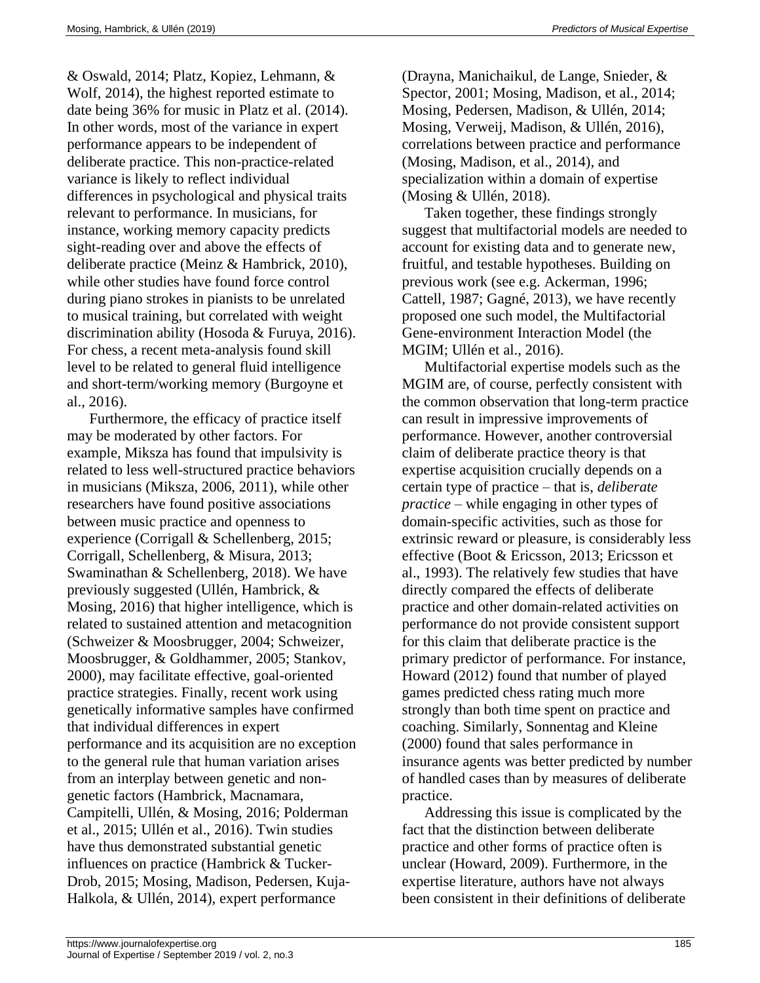& Oswald, 2014; Platz, Kopiez, Lehmann, & Wolf, 2014), the highest reported estimate to date being 36% for music in Platz et al. (2014). In other words, most of the variance in expert performance appears to be independent of deliberate practice. This non-practice-related variance is likely to reflect individual differences in psychological and physical traits relevant to performance. In musicians, for instance, working memory capacity predicts sight-reading over and above the effects of deliberate practice (Meinz & Hambrick, 2010), while other studies have found force control during piano strokes in pianists to be unrelated to musical training, but correlated with weight discrimination ability (Hosoda & Furuya, 2016). For chess, a recent meta-analysis found skill level to be related to general fluid intelligence and short-term/working memory (Burgoyne et al., 2016).

Furthermore, the efficacy of practice itself may be moderated by other factors. For example, Miksza has found that impulsivity is related to less well-structured practice behaviors in musicians (Miksza, 2006, 2011), while other researchers have found positive associations between music practice and openness to experience (Corrigall & Schellenberg, 2015; Corrigall, Schellenberg, & Misura, 2013; Swaminathan & Schellenberg, 2018). We have previously suggested (Ullén, Hambrick, & Mosing, 2016) that higher intelligence, which is related to sustained attention and metacognition (Schweizer & Moosbrugger, 2004; Schweizer, Moosbrugger, & Goldhammer, 2005; Stankov, 2000), may facilitate effective, goal-oriented practice strategies. Finally, recent work using genetically informative samples have confirmed that individual differences in expert performance and its acquisition are no exception to the general rule that human variation arises from an interplay between genetic and nongenetic factors (Hambrick, Macnamara, Campitelli, Ullén, & Mosing, 2016; Polderman et al., 2015; Ullén et al., 2016). Twin studies have thus demonstrated substantial genetic influences on practice (Hambrick & Tucker-Drob, 2015; Mosing, Madison, Pedersen, Kuja-Halkola, & Ullén, 2014), expert performance

(Drayna, Manichaikul, de Lange, Snieder, & Spector, 2001; Mosing, Madison, et al., 2014; Mosing, Pedersen, Madison, & Ullén, 2014; Mosing, Verweij, Madison, & Ullén, 2016), correlations between practice and performance (Mosing, Madison, et al., 2014), and specialization within a domain of expertise (Mosing & Ullén, 2018).

Taken together, these findings strongly suggest that multifactorial models are needed to account for existing data and to generate new, fruitful, and testable hypotheses. Building on previous work (see e.g. Ackerman, 1996; Cattell, 1987; Gagné, 2013), we have recently proposed one such model, the Multifactorial Gene-environment Interaction Model (the MGIM; Ullén et al., 2016).

Multifactorial expertise models such as the MGIM are, of course, perfectly consistent with the common observation that long-term practice can result in impressive improvements of performance. However, another controversial claim of deliberate practice theory is that expertise acquisition crucially depends on a certain type of practice – that is, *deliberate practice* – while engaging in other types of domain-specific activities, such as those for extrinsic reward or pleasure, is considerably less effective (Boot & Ericsson, 2013; Ericsson et al., 1993). The relatively few studies that have directly compared the effects of deliberate practice and other domain-related activities on performance do not provide consistent support for this claim that deliberate practice is the primary predictor of performance. For instance, Howard (2012) found that number of played games predicted chess rating much more strongly than both time spent on practice and coaching. Similarly, Sonnentag and Kleine (2000) found that sales performance in insurance agents was better predicted by number of handled cases than by measures of deliberate practice.

Addressing this issue is complicated by the fact that the distinction between deliberate practice and other forms of practice often is unclear (Howard, 2009). Furthermore, in the expertise literature, authors have not always been consistent in their definitions of deliberate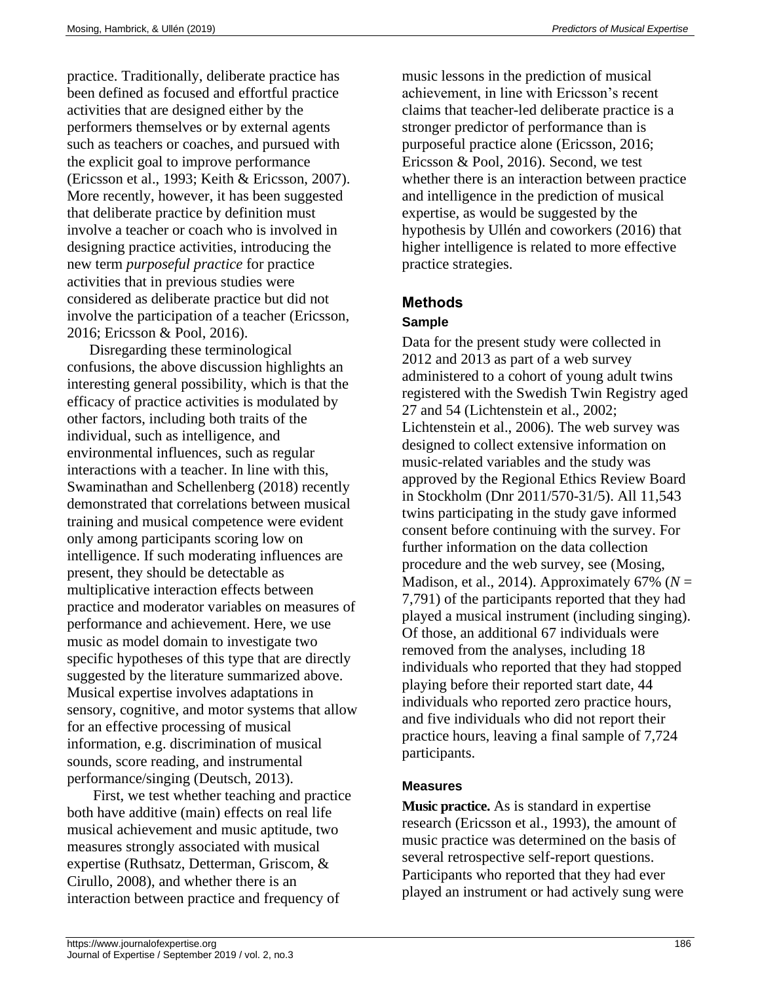practice. Traditionally, deliberate practice has been defined as focused and effortful practice activities that are designed either by the performers themselves or by external agents such as teachers or coaches, and pursued with the explicit goal to improve performance (Ericsson et al., 1993; Keith & Ericsson, 2007). More recently, however, it has been suggested that deliberate practice by definition must involve a teacher or coach who is involved in designing practice activities, introducing the new term *purposeful practice* for practice activities that in previous studies were considered as deliberate practice but did not involve the participation of a teacher (Ericsson, 2016; Ericsson & Pool, 2016).

Disregarding these terminological confusions, the above discussion highlights an interesting general possibility, which is that the efficacy of practice activities is modulated by other factors, including both traits of the individual, such as intelligence, and environmental influences, such as regular interactions with a teacher. In line with this, Swaminathan and Schellenberg (2018) recently demonstrated that correlations between musical training and musical competence were evident only among participants scoring low on intelligence. If such moderating influences are present, they should be detectable as multiplicative interaction effects between practice and moderator variables on measures of performance and achievement. Here, we use music as model domain to investigate two specific hypotheses of this type that are directly suggested by the literature summarized above. Musical expertise involves adaptations in sensory, cognitive, and motor systems that allow for an effective processing of musical information, e.g. discrimination of musical sounds, score reading, and instrumental performance/singing (Deutsch, 2013).

First, we test whether teaching and practice both have additive (main) effects on real life musical achievement and music aptitude, two measures strongly associated with musical expertise (Ruthsatz, Detterman, Griscom, & Cirullo, 2008), and whether there is an interaction between practice and frequency of

music lessons in the prediction of musical achievement, in line with Ericsson's recent claims that teacher-led deliberate practice is a stronger predictor of performance than is purposeful practice alone (Ericsson, 2016; Ericsson & Pool, 2016). Second, we test whether there is an interaction between practice and intelligence in the prediction of musical expertise, as would be suggested by the hypothesis by Ullén and coworkers (2016) that higher intelligence is related to more effective practice strategies.

### **Methods**

#### **Sample**

Data for the present study were collected in 2012 and 2013 as part of a web survey administered to a cohort of young adult twins registered with the Swedish Twin Registry aged 27 and 54 (Lichtenstein et al., 2002; Lichtenstein et al., 2006). The web survey was designed to collect extensive information on music-related variables and the study was approved by the Regional Ethics Review Board in Stockholm (Dnr 2011/570-31/5). All 11,543 twins participating in the study gave informed consent before continuing with the survey. For further information on the data collection procedure and the web survey, see (Mosing, Madison, et al., 2014). Approximately 67% ( $N =$ 7,791) of the participants reported that they had played a musical instrument (including singing). Of those, an additional 67 individuals were removed from the analyses, including 18 individuals who reported that they had stopped playing before their reported start date, 44 individuals who reported zero practice hours, and five individuals who did not report their practice hours, leaving a final sample of 7,724 participants.

#### **Measures**

**Music practice.** As is standard in expertise research (Ericsson et al., 1993), the amount of music practice was determined on the basis of several retrospective self-report questions. Participants who reported that they had ever played an instrument or had actively sung were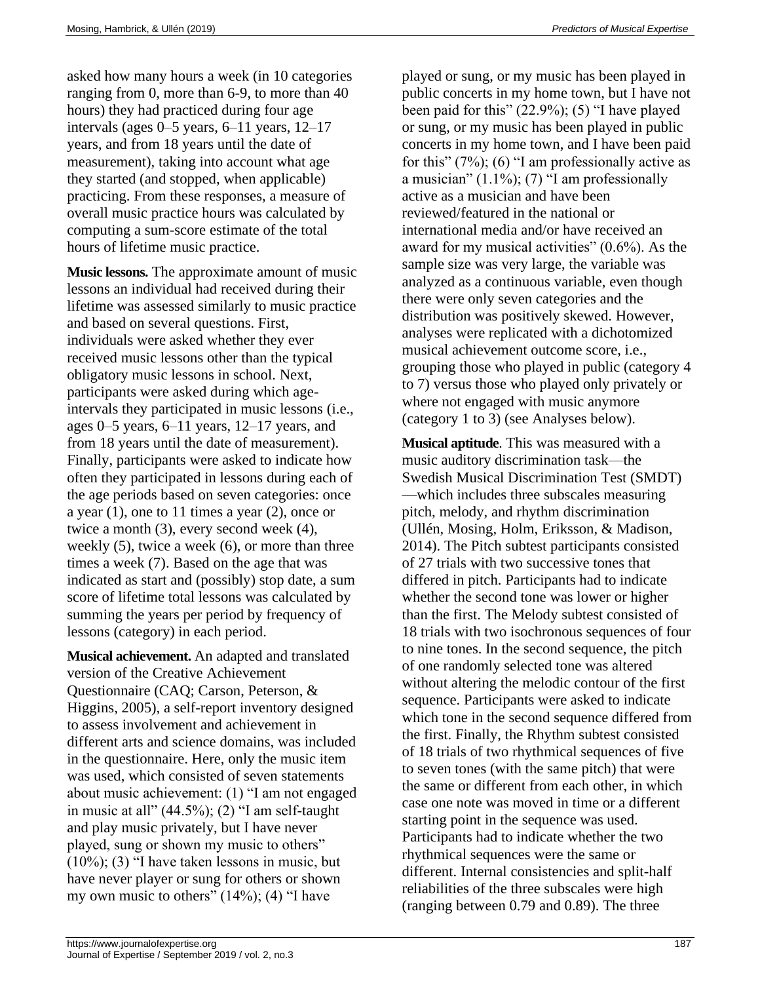asked how many hours a week (in 10 categories ranging from 0, more than 6-9, to more than 40 hours) they had practiced during four age intervals (ages 0–5 years, 6–11 years, 12–17 years, and from 18 years until the date of measurement), taking into account what age they started (and stopped, when applicable) practicing. From these responses, a measure of overall music practice hours was calculated by computing a sum-score estimate of the total hours of lifetime music practice.

**Music lessons.** The approximate amount of music lessons an individual had received during their lifetime was assessed similarly to music practice and based on several questions. First, individuals were asked whether they ever received music lessons other than the typical obligatory music lessons in school. Next, participants were asked during which ageintervals they participated in music lessons (i.e., ages 0–5 years, 6–11 years, 12–17 years, and from 18 years until the date of measurement). Finally, participants were asked to indicate how often they participated in lessons during each of the age periods based on seven categories: once a year (1), one to 11 times a year (2), once or twice a month (3), every second week (4), weekly (5), twice a week (6), or more than three times a week (7). Based on the age that was indicated as start and (possibly) stop date, a sum score of lifetime total lessons was calculated by summing the years per period by frequency of lessons (category) in each period.

**Musical achievement.** An adapted and translated version of the Creative Achievement Questionnaire (CAQ; Carson, Peterson, & Higgins, 2005), a self-report inventory designed to assess involvement and achievement in different arts and science domains, was included in the questionnaire. Here, only the music item was used, which consisted of seven statements about music achievement: (1) "I am not engaged in music at all" (44.5%); (2) "I am self-taught and play music privately, but I have never played, sung or shown my music to others" (10%); (3) "I have taken lessons in music, but have never player or sung for others or shown my own music to others"  $(14\%)$ ;  $(4)$  "I have

played or sung, or my music has been played in public concerts in my home town, but I have not been paid for this" (22.9%); (5) "I have played or sung, or my music has been played in public concerts in my home town, and I have been paid for this"  $(7\%)$ ; (6) "I am professionally active as a musician" (1.1%); (7) "I am professionally active as a musician and have been reviewed/featured in the national or international media and/or have received an award for my musical activities" (0.6%). As the sample size was very large, the variable was analyzed as a continuous variable, even though there were only seven categories and the distribution was positively skewed. However, analyses were replicated with a dichotomized musical achievement outcome score, i.e., grouping those who played in public (category 4 to 7) versus those who played only privately or where not engaged with music anymore (category 1 to 3) (see Analyses below).

**Musical aptitude**. This was measured with a music auditory discrimination task—the Swedish Musical Discrimination Test (SMDT) —which includes three subscales measuring pitch, melody, and rhythm discrimination (Ullén, Mosing, Holm, Eriksson, & Madison, 2014). The Pitch subtest participants consisted of 27 trials with two successive tones that differed in pitch. Participants had to indicate whether the second tone was lower or higher than the first. The Melody subtest consisted of 18 trials with two isochronous sequences of four to nine tones. In the second sequence, the pitch of one randomly selected tone was altered without altering the melodic contour of the first sequence. Participants were asked to indicate which tone in the second sequence differed from the first. Finally, the Rhythm subtest consisted of 18 trials of two rhythmical sequences of five to seven tones (with the same pitch) that were the same or different from each other, in which case one note was moved in time or a different starting point in the sequence was used. Participants had to indicate whether the two rhythmical sequences were the same or different. Internal consistencies and split-half reliabilities of the three subscales were high (ranging between 0.79 and 0.89). The three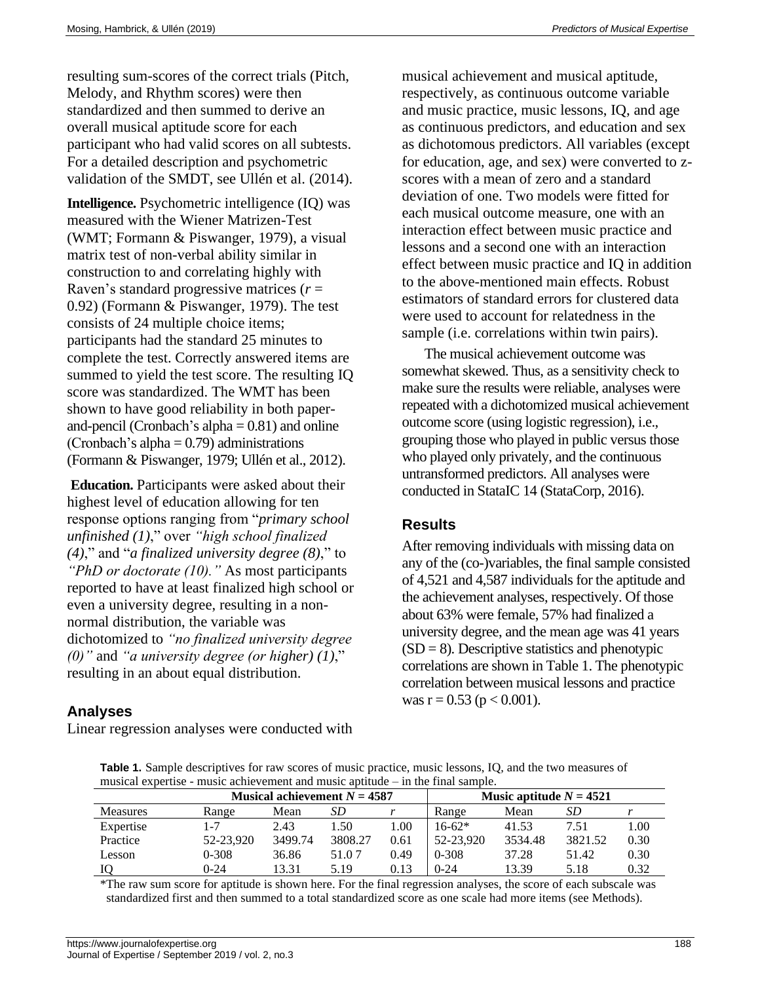resulting sum-scores of the correct trials (Pitch, Melody, and Rhythm scores) were then standardized and then summed to derive an overall musical aptitude score for each participant who had valid scores on all subtests. For a detailed description and psychometric validation of the SMDT, see Ullén et al. (2014).

**Intelligence.** Psychometric intelligence (IQ) was measured with the Wiener Matrizen-Test (WMT; Formann & Piswanger, 1979), a visual matrix test of non-verbal ability similar in construction to and correlating highly with Raven's standard progressive matrices (*r* = 0.92) (Formann & Piswanger, 1979). The test consists of 24 multiple choice items; participants had the standard 25 minutes to complete the test. Correctly answered items are summed to yield the test score. The resulting IQ score was standardized. The WMT has been shown to have good reliability in both paperand-pencil (Cronbach's alpha  $= 0.81$ ) and online (Cronbach's alpha  $= 0.79$ ) administrations (Formann & Piswanger, 1979; Ullén et al., 2012).

**Education.** Participants were asked about their highest level of education allowing for ten response options ranging from "*primary school unfinished (1)*," over *"high school finalized (4)*," and "*a finalized university degree (8)*," to *"PhD or doctorate (10)."* As most participants reported to have at least finalized high school or even a university degree, resulting in a nonnormal distribution, the variable was dichotomized to *"no finalized university degree (0)"* and *"a university degree (or higher) (1)*," resulting in an about equal distribution.

### **Analyses**

Linear regression analyses were conducted with

musical achievement and musical aptitude, respectively, as continuous outcome variable and music practice, music lessons, IQ, and age as continuous predictors, and education and sex as dichotomous predictors. All variables (except for education, age, and sex) were converted to zscores with a mean of zero and a standard deviation of one. Two models were fitted for each musical outcome measure, one with an interaction effect between music practice and lessons and a second one with an interaction effect between music practice and IQ in addition to the above-mentioned main effects. Robust estimators of standard errors for clustered data were used to account for relatedness in the sample (i.e. correlations within twin pairs).

The musical achievement outcome was somewhat skewed. Thus, as a sensitivity check to make sure the results were reliable, analyses were repeated with a dichotomized musical achievement outcome score (using logistic regression), i.e., grouping those who played in public versus those who played only privately, and the continuous untransformed predictors. All analyses were conducted in StataIC 14 (StataCorp, 2016).

### **Results**

After removing individuals with missing data on any of the (co-)variables, the final sample consisted of 4,521 and 4,587 individuals for the aptitude and the achievement analyses, respectively. Of those about 63% were female, 57% had finalized a university degree, and the mean age was 41 years  $(SD = 8)$ . Descriptive statistics and phenotypic correlations are shown in Table 1. The phenotypic correlation between musical lessons and practice was  $r = 0.53$  ( $p < 0.001$ ).

**Table 1.** Sample descriptives for raw scores of music practice, music lessons, IQ, and the two measures of musical expertise - music achievement and music aptitude – in the final sample.

|                 | Musical achievement $N = 4587$ |         |         |      | Music aptitude $N = 4521$ |         |         |      |
|-----------------|--------------------------------|---------|---------|------|---------------------------|---------|---------|------|
| <b>Measures</b> | Range                          | Mean    | SD      |      | Range                     | Mean    | SD      |      |
| Expertise       |                                | 2.43    | 1.50    | 00.1 | $16-62*$                  | 41.53   | 7.51    | l.00 |
| Practice        | 52-23.920                      | 3499.74 | 3808.27 | 0.61 | 52-23.920                 | 3534.48 | 3821.52 | 0.30 |
| Lesson          | 0-308                          | 36.86   | 51.07   | 0.49 | $0 - 308$                 | 37.28   | 51.42   | 0.30 |
|                 | 0-24                           | 13.31   | 5.19    | 0.13 | 0-24                      | 13.39   | 5.18    | 0.32 |

\*The raw sum score for aptitude is shown here. For the final regression analyses, the score of each subscale was standardized first and then summed to a total standardized score as one scale had more items (see Methods).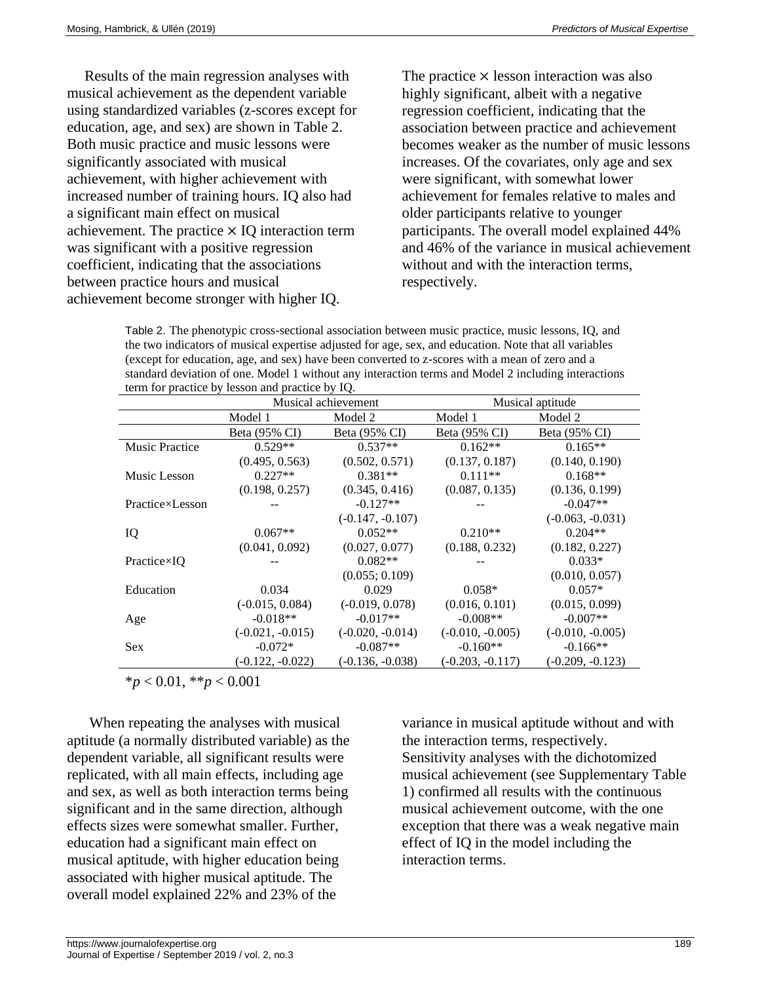Results of the main regression analyses with musical achievement as the dependent variable using standardized variables (z-scores except for education, age, and sex) are shown in Table 2. Both music practice and music lessons were significantly associated with musical achievement, with higher achievement with increased number of training hours. IQ also had a significant main effect on musical achievement. The practice  $\times$  IQ interaction term was significant with a positive regression coefficient, indicating that the associations between practice hours and musical achievement become stronger with higher IQ.

The practice  $\times$  lesson interaction was also highly significant, albeit with a negative regression coefficient, indicating that the association between practice and achievement becomes weaker as the number of music lessons increases. Of the covariates, only age and sex were significant, with somewhat lower achievement for females relative to males and older participants relative to younger participants. The overall model explained 44% and 46% of the variance in musical achievement without and with the interaction terms, respectively.

Table 2. The phenotypic cross-sectional association between music practice, music lessons, IQ, and the two indicators of musical expertise adjusted for age, sex, and education. Note that all variables (except for education, age, and sex) have been converted to z-scores with a mean of zero and a standard deviation of one. Model 1 without any interaction terms and Model 2 including interactions term for practice by lesson and practice by IQ.

|                       | Musical achievement |                    | Musical aptitude   |                    |  |
|-----------------------|---------------------|--------------------|--------------------|--------------------|--|
|                       | Model 1             | Model 2            | Model 1            | Model 2            |  |
|                       | Beta (95% CI)       | Beta (95% CI)      | Beta (95% CI)      | Beta (95% CI)      |  |
| <b>Music Practice</b> | $0.529**$           | $0.537**$          | $0.162**$          | $0.165**$          |  |
|                       | (0.495, 0.563)      | (0.502, 0.571)     | (0.137, 0.187)     | (0.140, 0.190)     |  |
| Music Lesson          | $0.227**$           | $0.381**$          | $0.111**$          | $0.168**$          |  |
|                       | (0.198, 0.257)      | (0.345, 0.416)     | (0.087, 0.135)     | (0.136, 0.199)     |  |
| Practice×Lesson       |                     | $-0.127**$         |                    | $-0.047**$         |  |
|                       |                     | $(-0.147, -0.107)$ |                    | $(-0.063, -0.031)$ |  |
| IQ                    | $0.067**$           | $0.052**$          | $0.210**$          | $0.204**$          |  |
|                       | (0.041, 0.092)      | (0.027, 0.077)     | (0.188, 0.232)     | (0.182, 0.227)     |  |
| $Practice \times IO$  |                     | $0.082**$          |                    | $0.033*$           |  |
|                       |                     | (0.055; 0.109)     |                    | (0.010, 0.057)     |  |
| Education             | 0.034               | 0.029              | $0.058*$           | $0.057*$           |  |
|                       | $(-0.015, 0.084)$   | $(-0.019, 0.078)$  | (0.016, 0.101)     | (0.015, 0.099)     |  |
| Age                   | $-0.018**$          | $-0.017**$         | $-0.008**$         | $-0.007**$         |  |
|                       | $(-0.021, -0.015)$  | $(-0.020, -0.014)$ | $(-0.010, -0.005)$ | $(-0.010, -0.005)$ |  |
| <b>Sex</b>            | $-0.072*$           | $-0.087**$         | $-0.160**$         | $-0.166**$         |  |
|                       | $(-0.122, -0.022)$  | $(-0.136, -0.038)$ | $(-0.203, -0.117)$ | $(-0.209, -0.123)$ |  |

\**p* < 0.01, \*\**p* < 0.001

When repeating the analyses with musical aptitude (a normally distributed variable) as the dependent variable, all significant results were replicated, with all main effects, including age and sex, as well as both interaction terms being significant and in the same direction, although effects sizes were somewhat smaller. Further, education had a significant main effect on musical aptitude, with higher education being associated with higher musical aptitude. The overall model explained 22% and 23% of the

variance in musical aptitude without and with the interaction terms, respectively. Sensitivity analyses with the dichotomized musical achievement (see Supplementary Table 1) confirmed all results with the continuous musical achievement outcome, with the one exception that there was a weak negative main effect of IQ in the model including the interaction terms.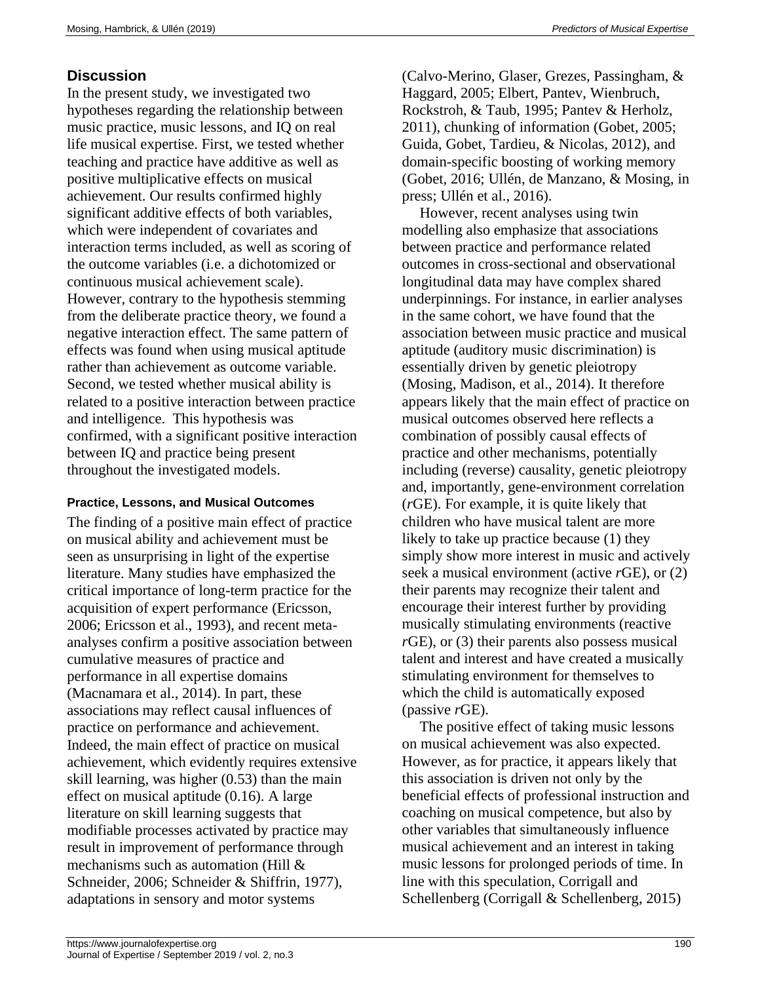### **Discussion**

In the present study, we investigated two hypotheses regarding the relationship between music practice, music lessons, and IQ on real life musical expertise. First, we tested whether teaching and practice have additive as well as positive multiplicative effects on musical achievement. Our results confirmed highly significant additive effects of both variables, which were independent of covariates and interaction terms included, as well as scoring of the outcome variables (i.e. a dichotomized or continuous musical achievement scale). However, contrary to the hypothesis stemming from the deliberate practice theory, we found a negative interaction effect. The same pattern of effects was found when using musical aptitude rather than achievement as outcome variable. Second, we tested whether musical ability is related to a positive interaction between practice and intelligence. This hypothesis was confirmed, with a significant positive interaction between IQ and practice being present throughout the investigated models.

#### **Practice, Lessons, and Musical Outcomes**

The finding of a positive main effect of practice on musical ability and achievement must be seen as unsurprising in light of the expertise literature. Many studies have emphasized the critical importance of long-term practice for the acquisition of expert performance (Ericsson, 2006; Ericsson et al., 1993), and recent metaanalyses confirm a positive association between cumulative measures of practice and performance in all expertise domains (Macnamara et al., 2014). In part, these associations may reflect causal influences of practice on performance and achievement. Indeed, the main effect of practice on musical achievement, which evidently requires extensive skill learning, was higher (0.53) than the main effect on musical aptitude (0.16). A large literature on skill learning suggests that modifiable processes activated by practice may result in improvement of performance through mechanisms such as automation (Hill & Schneider, 2006; Schneider & Shiffrin, 1977), adaptations in sensory and motor systems

(Calvo-Merino, Glaser, Grezes, Passingham, & Haggard, 2005; Elbert, Pantev, Wienbruch, Rockstroh, & Taub, 1995; Pantev & Herholz, 2011), chunking of information (Gobet, 2005; Guida, Gobet, Tardieu, & Nicolas, 2012), and domain-specific boosting of working memory (Gobet, 2016; Ullén, de Manzano, & Mosing, in press; Ullén et al., 2016).

However, recent analyses using twin modelling also emphasize that associations between practice and performance related outcomes in cross-sectional and observational longitudinal data may have complex shared underpinnings. For instance, in earlier analyses in the same cohort, we have found that the association between music practice and musical aptitude (auditory music discrimination) is essentially driven by genetic pleiotropy (Mosing, Madison, et al., 2014). It therefore appears likely that the main effect of practice on musical outcomes observed here reflects a combination of possibly causal effects of practice and other mechanisms, potentially including (reverse) causality, genetic pleiotropy and, importantly, gene-environment correlation (*r*GE). For example, it is quite likely that children who have musical talent are more likely to take up practice because (1) they simply show more interest in music and actively seek a musical environment (active *r*GE), or (2) their parents may recognize their talent and encourage their interest further by providing musically stimulating environments (reactive *r*GE), or (3) their parents also possess musical talent and interest and have created a musically stimulating environment for themselves to which the child is automatically exposed (passive *r*GE).

The positive effect of taking music lessons on musical achievement was also expected. However, as for practice, it appears likely that this association is driven not only by the beneficial effects of professional instruction and coaching on musical competence, but also by other variables that simultaneously influence musical achievement and an interest in taking music lessons for prolonged periods of time. In line with this speculation, Corrigall and Schellenberg (Corrigall & Schellenberg, 2015)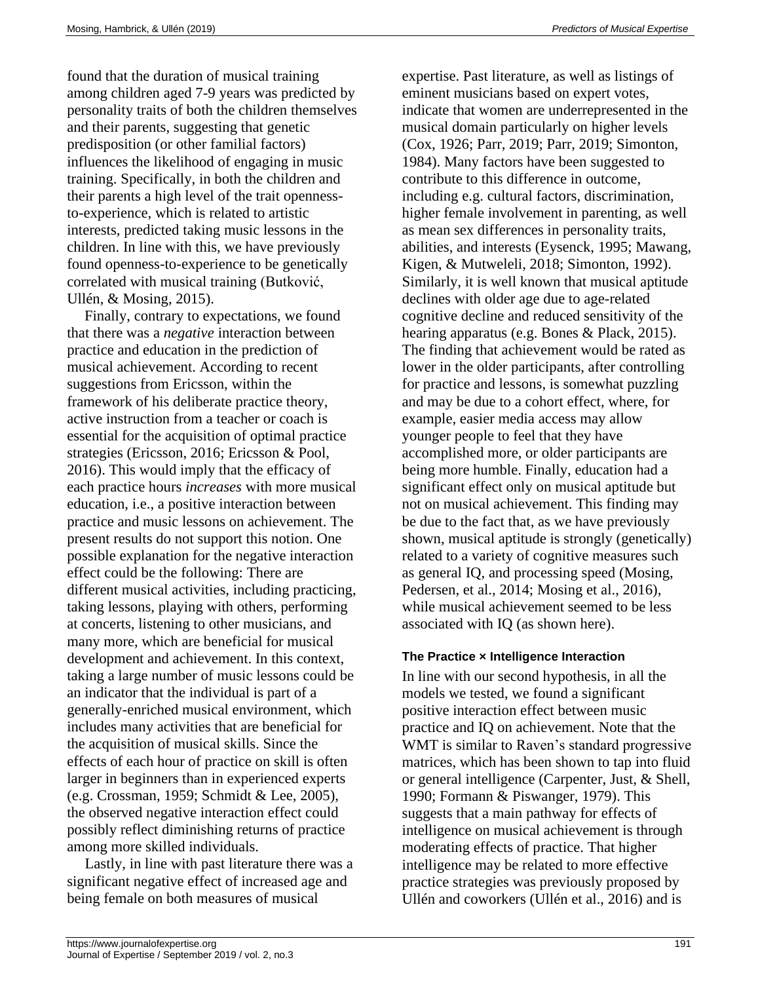found that the duration of musical training among children aged 7-9 years was predicted by personality traits of both the children themselves and their parents, suggesting that genetic predisposition (or other familial factors) influences the likelihood of engaging in music training. Specifically, in both the children and their parents a high level of the trait opennessto-experience, which is related to artistic interests, predicted taking music lessons in the children. In line with this, we have previously found openness-to-experience to be genetically correlated with musical training (Butković, Ullén, & Mosing, 2015).

Finally, contrary to expectations, we found that there was a *negative* interaction between practice and education in the prediction of musical achievement. According to recent suggestions from Ericsson, within the framework of his deliberate practice theory, active instruction from a teacher or coach is essential for the acquisition of optimal practice strategies (Ericsson, 2016; Ericsson & Pool, 2016). This would imply that the efficacy of each practice hours *increases* with more musical education, i.e., a positive interaction between practice and music lessons on achievement. The present results do not support this notion. One possible explanation for the negative interaction effect could be the following: There are different musical activities, including practicing, taking lessons, playing with others, performing at concerts, listening to other musicians, and many more, which are beneficial for musical development and achievement. In this context, taking a large number of music lessons could be an indicator that the individual is part of a generally-enriched musical environment, which includes many activities that are beneficial for the acquisition of musical skills. Since the effects of each hour of practice on skill is often larger in beginners than in experienced experts (e.g. Crossman, 1959; Schmidt & Lee, 2005), the observed negative interaction effect could possibly reflect diminishing returns of practice among more skilled individuals.

Lastly, in line with past literature there was a significant negative effect of increased age and being female on both measures of musical

expertise. Past literature, as well as listings of eminent musicians based on expert votes, indicate that women are underrepresented in the musical domain particularly on higher levels (Cox, 1926; Parr, 2019; Parr, 2019; Simonton, 1984). Many factors have been suggested to contribute to this difference in outcome, including e.g. cultural factors, discrimination, higher female involvement in parenting, as well as mean sex differences in personality traits, abilities, and interests (Eysenck, 1995; Mawang, Kigen, & Mutweleli, 2018; Simonton, 1992). Similarly, it is well known that musical aptitude declines with older age due to age-related cognitive decline and reduced sensitivity of the hearing apparatus (e.g. Bones & Plack, 2015). The finding that achievement would be rated as lower in the older participants, after controlling for practice and lessons, is somewhat puzzling and may be due to a cohort effect, where, for example, easier media access may allow younger people to feel that they have accomplished more, or older participants are being more humble. Finally, education had a significant effect only on musical aptitude but not on musical achievement. This finding may be due to the fact that, as we have previously shown, musical aptitude is strongly (genetically) related to a variety of cognitive measures such as general IQ, and processing speed (Mosing, Pedersen, et al., 2014; Mosing et al., 2016), while musical achievement seemed to be less associated with IQ (as shown here).

#### **The Practice × Intelligence Interaction**

In line with our second hypothesis, in all the models we tested, we found a significant positive interaction effect between music practice and IQ on achievement. Note that the WMT is similar to Raven's standard progressive matrices, which has been shown to tap into fluid or general intelligence (Carpenter, Just, & Shell, 1990; Formann & Piswanger, 1979). This suggests that a main pathway for effects of intelligence on musical achievement is through moderating effects of practice. That higher intelligence may be related to more effective practice strategies was previously proposed by Ullén and coworkers (Ullén et al., 2016) and is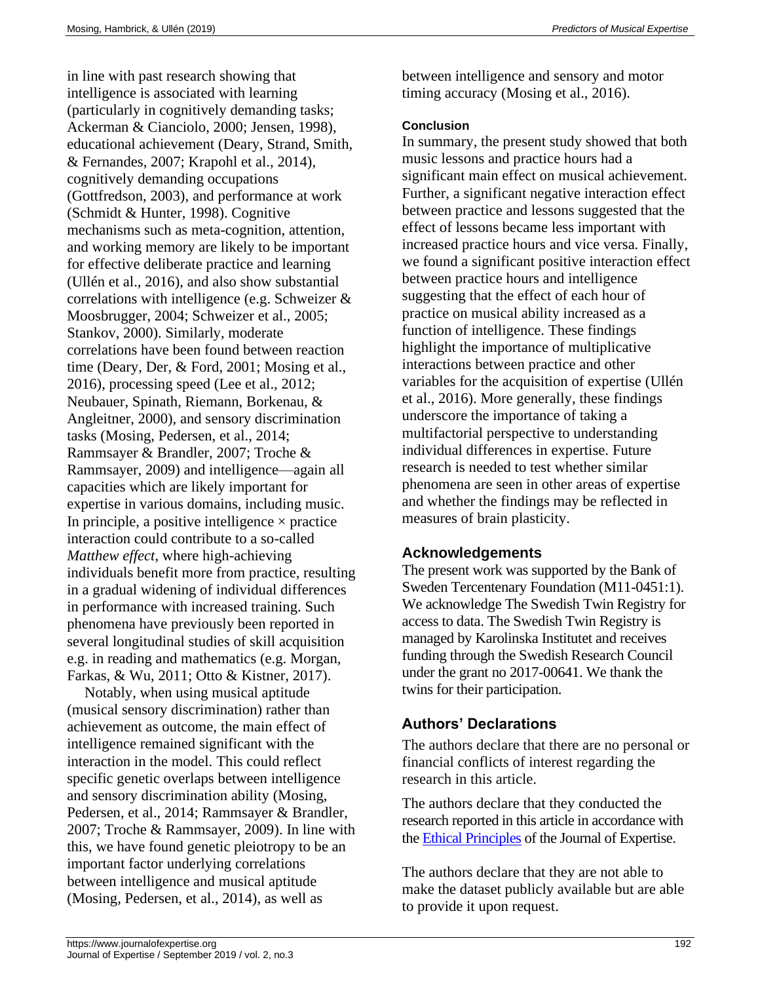in line with past research showing that intelligence is associated with learning (particularly in cognitively demanding tasks; Ackerman & Cianciolo, 2000; Jensen, 1998), educational achievement (Deary, Strand, Smith, & Fernandes, 2007; Krapohl et al., 2014), cognitively demanding occupations (Gottfredson, 2003), and performance at work (Schmidt & Hunter, 1998). Cognitive mechanisms such as meta-cognition, attention, and working memory are likely to be important for effective deliberate practice and learning (Ullén et al., 2016), and also show substantial correlations with intelligence (e.g. Schweizer & Moosbrugger, 2004; Schweizer et al., 2005; Stankov, 2000). Similarly, moderate correlations have been found between reaction time (Deary, Der, & Ford, 2001; Mosing et al., 2016), processing speed (Lee et al., 2012; Neubauer, Spinath, Riemann, Borkenau, & Angleitner, 2000), and sensory discrimination tasks (Mosing, Pedersen, et al., 2014; Rammsayer & Brandler, 2007; Troche & Rammsayer, 2009) and intelligence—again all capacities which are likely important for expertise in various domains, including music. In principle, a positive intelligence  $\times$  practice interaction could contribute to a so-called *Matthew effect*, where high-achieving individuals benefit more from practice, resulting in a gradual widening of individual differences in performance with increased training. Such phenomena have previously been reported in several longitudinal studies of skill acquisition e.g. in reading and mathematics (e.g. Morgan, Farkas, & Wu, 2011; Otto & Kistner, 2017).

Notably, when using musical aptitude (musical sensory discrimination) rather than achievement as outcome, the main effect of intelligence remained significant with the interaction in the model. This could reflect specific genetic overlaps between intelligence and sensory discrimination ability (Mosing, Pedersen, et al., 2014; Rammsayer & Brandler, 2007; Troche & Rammsayer, 2009). In line with this, we have found genetic pleiotropy to be an important factor underlying correlations between intelligence and musical aptitude (Mosing, Pedersen, et al., 2014), as well as

between intelligence and sensory and motor timing accuracy (Mosing et al., 2016).

#### **Conclusion**

In summary, the present study showed that both music lessons and practice hours had a significant main effect on musical achievement. Further, a significant negative interaction effect between practice and lessons suggested that the effect of lessons became less important with increased practice hours and vice versa. Finally, we found a significant positive interaction effect between practice hours and intelligence suggesting that the effect of each hour of practice on musical ability increased as a function of intelligence. These findings highlight the importance of multiplicative interactions between practice and other variables for the acquisition of expertise (Ullén et al., 2016). More generally, these findings underscore the importance of taking a multifactorial perspective to understanding individual differences in expertise. Future research is needed to test whether similar phenomena are seen in other areas of expertise and whether the findings may be reflected in measures of brain plasticity.

## **Acknowledgements**

The present work was supported by the Bank of Sweden Tercentenary Foundation (M11-0451:1). We acknowledge The Swedish Twin Registry for access to data. The Swedish Twin Registry is managed by Karolinska Institutet and receives funding through the Swedish Research Council under the grant no 2017-00641. We thank the twins for their participation.

# **Authors' Declarations**

The authors declare that there are no personal or financial conflicts of interest regarding the research in this article.

The authors declare that they conducted the research reported in this article in accordance with the [Ethical Principles](https://www.journalofexpertise.org/manuscript_submission.html) of the Journal of Expertise.

The authors declare that they are not able to make the dataset publicly available but are able to provide it upon request.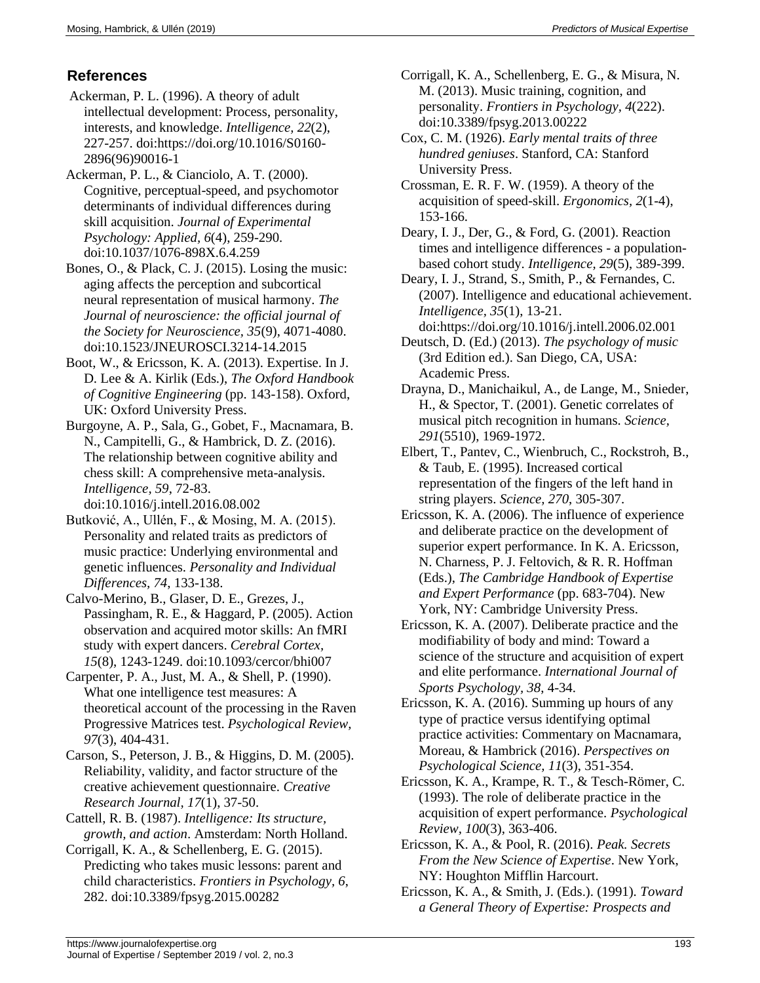### **References**

Ackerman, P. L. (1996). A theory of adult intellectual development: Process, personality, interests, and knowledge. *Intelligence, 22*(2), 227-257. doi:https://doi.org/10.1016/S0160- 2896(96)90016-1

Ackerman, P. L., & Cianciolo, A. T. (2000). Cognitive, perceptual-speed, and psychomotor determinants of individual differences during skill acquisition. *Journal of Experimental Psychology: Applied, 6*(4), 259-290. doi:10.1037/1076-898X.6.4.259

- Bones, O., & Plack, C. J. (2015). Losing the music: aging affects the perception and subcortical neural representation of musical harmony. *The Journal of neuroscience: the official journal of the Society for Neuroscience, 35*(9), 4071-4080. doi:10.1523/JNEUROSCI.3214-14.2015
- Boot, W., & Ericsson, K. A. (2013). Expertise. In J. D. Lee & A. Kirlik (Eds.), *The Oxford Handbook of Cognitive Engineering* (pp. 143-158). Oxford, UK: Oxford University Press.

Burgoyne, A. P., Sala, G., Gobet, F., Macnamara, B. N., Campitelli, G., & Hambrick, D. Z. (2016). The relationship between cognitive ability and chess skill: A comprehensive meta-analysis. *Intelligence, 59*, 72-83. doi:10.1016/j.intell.2016.08.002

- Butković, A., Ullén, F., & Mosing, M. A. (2015). Personality and related traits as predictors of music practice: Underlying environmental and genetic influences. *Personality and Individual Differences, 74*, 133-138.
- Calvo-Merino, B., Glaser, D. E., Grezes, J., Passingham, R. E., & Haggard, P. (2005). Action observation and acquired motor skills: An fMRI study with expert dancers. *Cerebral Cortex, 15*(8), 1243-1249. doi:10.1093/cercor/bhi007
- Carpenter, P. A., Just, M. A., & Shell, P. (1990). What one intelligence test measures: A theoretical account of the processing in the Raven Progressive Matrices test. *Psychological Review, 97*(3), 404-431.
- Carson, S., Peterson, J. B., & Higgins, D. M. (2005). Reliability, validity, and factor structure of the creative achievement questionnaire. *Creative Research Journal, 17*(1), 37-50.
- Cattell, R. B. (1987). *Intelligence: Its structure, growth, and action*. Amsterdam: North Holland.
- Corrigall, K. A., & Schellenberg, E. G. (2015). Predicting who takes music lessons: parent and child characteristics. *Frontiers in Psychology, 6*, 282. doi:10.3389/fpsyg.2015.00282
- Corrigall, K. A., Schellenberg, E. G., & Misura, N. M. (2013). Music training, cognition, and personality. *Frontiers in Psychology, 4*(222). doi:10.3389/fpsyg.2013.00222
- Cox, C. M. (1926). *Early mental traits of three hundred geniuses*. Stanford, CA: Stanford University Press.
- Crossman, E. R. F. W. (1959). A theory of the acquisition of speed-skill. *Ergonomics, 2*(1-4), 153-166.
- Deary, I. J., Der, G., & Ford, G. (2001). Reaction times and intelligence differences - a populationbased cohort study. *Intelligence, 29*(5), 389-399.

Deary, I. J., Strand, S., Smith, P., & Fernandes, C. (2007). Intelligence and educational achievement. *Intelligence, 35*(1), 13-21.

- doi:https://doi.org/10.1016/j.intell.2006.02.001 Deutsch, D. (Ed.) (2013). *The psychology of music* (3rd Edition ed.). San Diego, CA, USA: Academic Press.
- Drayna, D., Manichaikul, A., de Lange, M., Snieder, H., & Spector, T. (2001). Genetic correlates of musical pitch recognition in humans. *Science, 291*(5510), 1969-1972.
- Elbert, T., Pantev, C., Wienbruch, C., Rockstroh, B., & Taub, E. (1995). Increased cortical representation of the fingers of the left hand in string players. *Science, 270*, 305-307.
- Ericsson, K. A. (2006). The influence of experience and deliberate practice on the development of superior expert performance. In K. A. Ericsson, N. Charness, P. J. Feltovich, & R. R. Hoffman (Eds.), *The Cambridge Handbook of Expertise and Expert Performance* (pp. 683-704). New York, NY: Cambridge University Press.
- Ericsson, K. A. (2007). Deliberate practice and the modifiability of body and mind: Toward a science of the structure and acquisition of expert and elite performance. *International Journal of Sports Psychology, 38*, 4-34.
- Ericsson, K. A. (2016). Summing up hours of any type of practice versus identifying optimal practice activities: Commentary on Macnamara, Moreau, & Hambrick (2016). *Perspectives on Psychological Science, 11*(3), 351-354.
- Ericsson, K. A., Krampe, R. T., & Tesch-Römer, C. (1993). The role of deliberate practice in the acquisition of expert performance. *Psychological Review, 100*(3), 363-406.
- Ericsson, K. A., & Pool, R. (2016). *Peak. Secrets From the New Science of Expertise*. New York, NY: Houghton Mifflin Harcourt.
- Ericsson, K. A., & Smith, J. (Eds.). (1991). *Toward a General Theory of Expertise: Prospects and*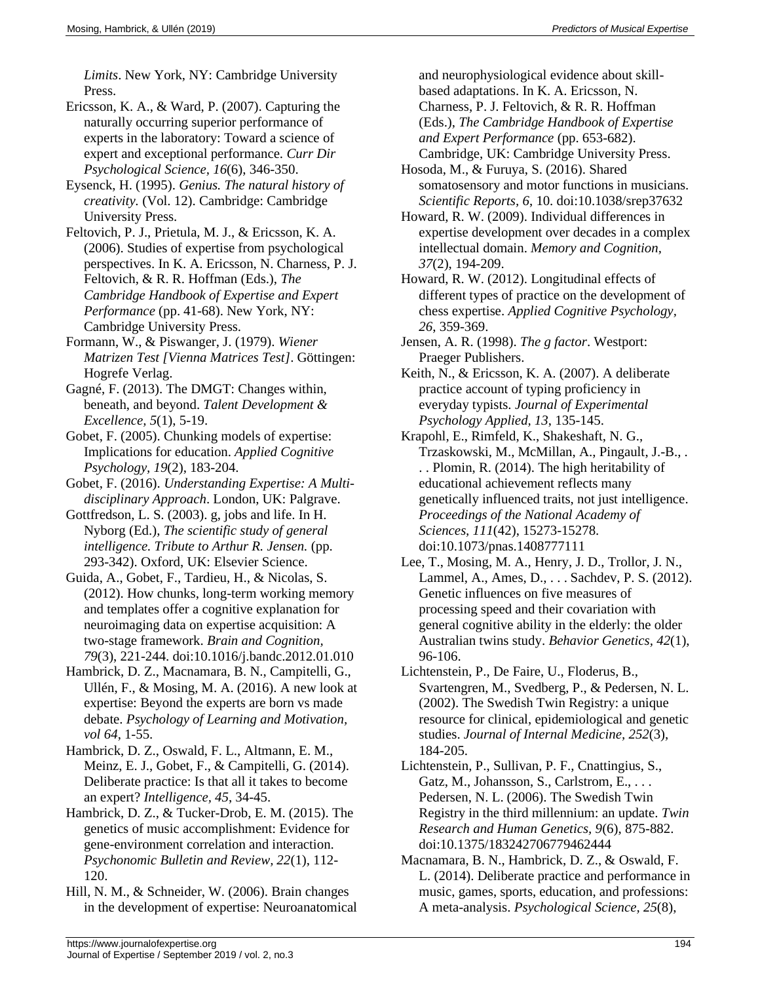*Limits*. New York, NY: Cambridge University Press.

- Ericsson, K. A., & Ward, P. (2007). Capturing the naturally occurring superior performance of experts in the laboratory: Toward a science of expert and exceptional performance. *Curr Dir Psychological Science, 16*(6), 346-350.
- Eysenck, H. (1995). *Genius. The natural history of creativity.* (Vol. 12). Cambridge: Cambridge University Press.
- Feltovich, P. J., Prietula, M. J., & Ericsson, K. A. (2006). Studies of expertise from psychological perspectives. In K. A. Ericsson, N. Charness, P. J. Feltovich, & R. R. Hoffman (Eds.), *The Cambridge Handbook of Expertise and Expert Performance* (pp. 41-68). New York, NY: Cambridge University Press.
- Formann, W., & Piswanger, J. (1979). *Wiener Matrizen Test [Vienna Matrices Test]*. Göttingen: Hogrefe Verlag.
- Gagné, F. (2013). The DMGT: Changes within, beneath, and beyond. *Talent Development & Excellence, 5*(1), 5-19.
- Gobet, F. (2005). Chunking models of expertise: Implications for education. *Applied Cognitive Psychology, 19*(2), 183-204.
- Gobet, F. (2016). *Understanding Expertise: A Multidisciplinary Approach*. London, UK: Palgrave.
- Gottfredson, L. S. (2003). g, jobs and life. In H. Nyborg (Ed.), *The scientific study of general intelligence. Tribute to Arthur R. Jensen.* (pp. 293-342). Oxford, UK: Elsevier Science.
- Guida, A., Gobet, F., Tardieu, H., & Nicolas, S. (2012). How chunks, long-term working memory and templates offer a cognitive explanation for neuroimaging data on expertise acquisition: A two-stage framework. *Brain and Cognition, 79*(3), 221-244. doi:10.1016/j.bandc.2012.01.010
- Hambrick, D. Z., Macnamara, B. N., Campitelli, G., Ullén, F., & Mosing, M. A. (2016). A new look at expertise: Beyond the experts are born vs made debate. *Psychology of Learning and Motivation, vol 64*, 1-55.
- Hambrick, D. Z., Oswald, F. L., Altmann, E. M., Meinz, E. J., Gobet, F., & Campitelli, G. (2014). Deliberate practice: Is that all it takes to become an expert? *Intelligence, 45*, 34-45.
- Hambrick, D. Z., & Tucker-Drob, E. M. (2015). The genetics of music accomplishment: Evidence for gene-environment correlation and interaction. *Psychonomic Bulletin and Review, 22*(1), 112- 120.
- Hill, N. M., & Schneider, W. (2006). Brain changes in the development of expertise: Neuroanatomical

and neurophysiological evidence about skillbased adaptations. In K. A. Ericsson, N. Charness, P. J. Feltovich, & R. R. Hoffman (Eds.), *The Cambridge Handbook of Expertise and Expert Performance* (pp. 653-682). Cambridge, UK: Cambridge University Press.

- Hosoda, M., & Furuya, S. (2016). Shared somatosensory and motor functions in musicians. *Scientific Reports, 6*, 10. doi:10.1038/srep37632
- Howard, R. W. (2009). Individual differences in expertise development over decades in a complex intellectual domain. *Memory and Cognition, 37*(2), 194-209.
- Howard, R. W. (2012). Longitudinal effects of different types of practice on the development of chess expertise. *Applied Cognitive Psychology, 26*, 359-369.
- Jensen, A. R. (1998). *The g factor*. Westport: Praeger Publishers.
- Keith, N., & Ericsson, K. A. (2007). A deliberate practice account of typing proficiency in everyday typists. *Journal of Experimental Psychology Applied, 13*, 135-145.
- Krapohl, E., Rimfeld, K., Shakeshaft, N. G., Trzaskowski, M., McMillan, A., Pingault, J.-B., . . . Plomin, R. (2014). The high heritability of educational achievement reflects many genetically influenced traits, not just intelligence. *Proceedings of the National Academy of Sciences, 111*(42), 15273-15278. doi:10.1073/pnas.1408777111
- Lee, T., Mosing, M. A., Henry, J. D., Trollor, J. N., Lammel, A., Ames, D., . . . Sachdev, P. S. (2012). Genetic influences on five measures of processing speed and their covariation with general cognitive ability in the elderly: the older Australian twins study. *Behavior Genetics, 42*(1), 96-106.
- Lichtenstein, P., De Faire, U., Floderus, B., Svartengren, M., Svedberg, P., & Pedersen, N. L. (2002). The Swedish Twin Registry: a unique resource for clinical, epidemiological and genetic studies. *Journal of Internal Medicine, 252*(3), 184-205.
- Lichtenstein, P., Sullivan, P. F., Cnattingius, S., Gatz, M., Johansson, S., Carlstrom, E., ... Pedersen, N. L. (2006). The Swedish Twin Registry in the third millennium: an update. *Twin Research and Human Genetics, 9*(6), 875-882. doi:10.1375/183242706779462444
- Macnamara, B. N., Hambrick, D. Z., & Oswald, F. L. (2014). Deliberate practice and performance in music, games, sports, education, and professions: A meta-analysis. *Psychological Science, 25*(8),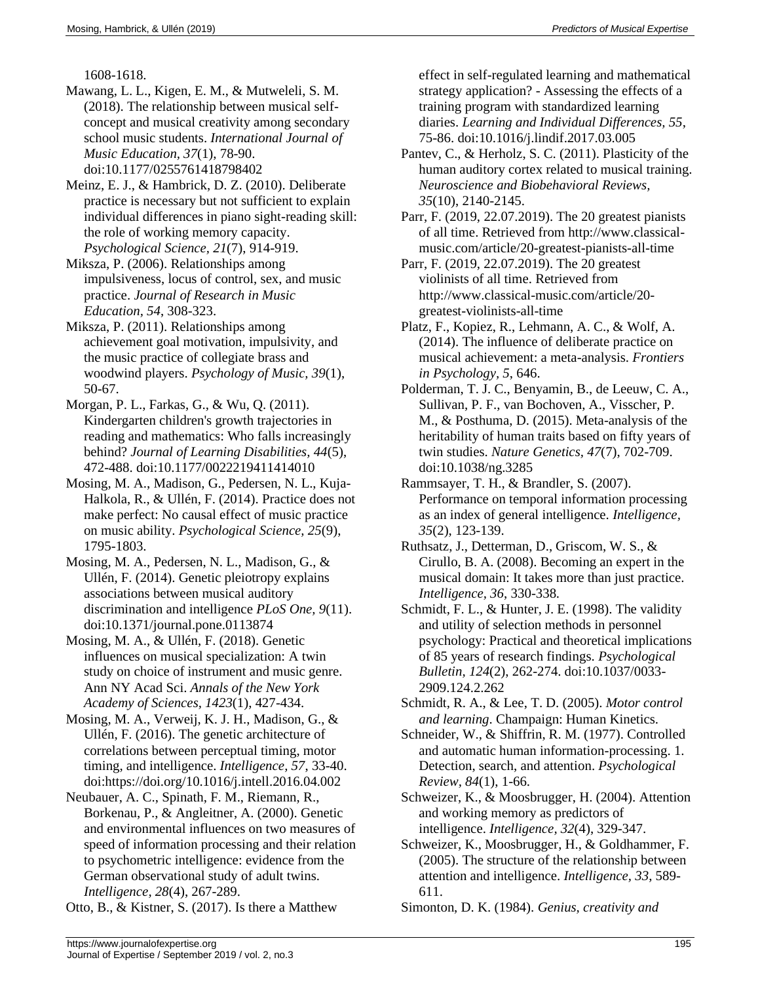1608-1618.

- Mawang, L. L., Kigen, E. M., & Mutweleli, S. M. (2018). The relationship between musical selfconcept and musical creativity among secondary school music students. *International Journal of Music Education, 37*(1), 78-90. doi:10.1177/0255761418798402
- Meinz, E. J., & Hambrick, D. Z. (2010). Deliberate practice is necessary but not sufficient to explain individual differences in piano sight-reading skill: the role of working memory capacity. *Psychological Science, 21*(7), 914-919.
- Miksza, P. (2006). Relationships among impulsiveness, locus of control, sex, and music practice. *Journal of Research in Music Education, 54*, 308-323.
- Miksza, P. (2011). Relationships among achievement goal motivation, impulsivity, and the music practice of collegiate brass and woodwind players. *Psychology of Music, 39*(1), 50-67.
- Morgan, P. L., Farkas, G., & Wu, Q. (2011). Kindergarten children's growth trajectories in reading and mathematics: Who falls increasingly behind? *Journal of Learning Disabilities, 44*(5), 472-488. doi:10.1177/0022219411414010
- Mosing, M. A., Madison, G., Pedersen, N. L., Kuja-Halkola, R., & Ullén, F. (2014). Practice does not make perfect: No causal effect of music practice on music ability. *Psychological Science, 25*(9), 1795-1803.
- Mosing, M. A., Pedersen, N. L., Madison, G., & Ullén, F. (2014). Genetic pleiotropy explains associations between musical auditory discrimination and intelligence *PLoS One, 9*(11). doi:10.1371/journal.pone.0113874
- Mosing, M. A., & Ullén, F. (2018). Genetic influences on musical specialization: A twin study on choice of instrument and music genre. Ann NY Acad Sci. *Annals of the New York Academy of Sciences, 1423*(1), 427-434.
- Mosing, M. A., Verweij, K. J. H., Madison, G., & Ullén, F. (2016). The genetic architecture of correlations between perceptual timing, motor timing, and intelligence. *Intelligence, 57*, 33-40. doi:https://doi.org/10.1016/j.intell.2016.04.002
- Neubauer, A. C., Spinath, F. M., Riemann, R., Borkenau, P., & Angleitner, A. (2000). Genetic and environmental influences on two measures of speed of information processing and their relation to psychometric intelligence: evidence from the German observational study of adult twins. *Intelligence, 28*(4), 267-289.

Otto, B., & Kistner, S. (2017). Is there a Matthew

effect in self-regulated learning and mathematical strategy application? - Assessing the effects of a training program with standardized learning diaries. *Learning and Individual Differences, 55*, 75-86. doi:10.1016/j.lindif.2017.03.005

- Pantev, C., & Herholz, S. C. (2011). Plasticity of the human auditory cortex related to musical training. *Neuroscience and Biobehavioral Reviews, 35*(10), 2140-2145.
- Parr, F. (2019, 22.07.2019). The 20 greatest pianists of all time. Retrieved from http://www.classicalmusic.com/article/20-greatest-pianists-all-time
- Parr, F. (2019, 22.07.2019). The 20 greatest violinists of all time. Retrieved from http://www.classical-music.com/article/20 greatest-violinists-all-time
- Platz, F., Kopiez, R., Lehmann, A. C., & Wolf, A. (2014). The influence of deliberate practice on musical achievement: a meta-analysis. *Frontiers in Psychology, 5*, 646.
- Polderman, T. J. C., Benyamin, B., de Leeuw, C. A., Sullivan, P. F., van Bochoven, A., Visscher, P. M., & Posthuma, D. (2015). Meta-analysis of the heritability of human traits based on fifty years of twin studies. *Nature Genetics, 47*(7), 702-709. doi:10.1038/ng.3285
- Rammsayer, T. H., & Brandler, S. (2007). Performance on temporal information processing as an index of general intelligence. *Intelligence, 35*(2), 123-139.
- Ruthsatz, J., Detterman, D., Griscom, W. S., & Cirullo, B. A. (2008). Becoming an expert in the musical domain: It takes more than just practice. *Intelligence, 36*, 330-338.
- Schmidt, F. L., & Hunter, J. E. (1998). The validity and utility of selection methods in personnel psychology: Practical and theoretical implications of 85 years of research findings. *Psychological Bulletin, 124*(2), 262-274. doi:10.1037/0033- 2909.124.2.262
- Schmidt, R. A., & Lee, T. D. (2005). *Motor control and learning*. Champaign: Human Kinetics.
- Schneider, W., & Shiffrin, R. M. (1977). Controlled and automatic human information-processing. 1. Detection, search, and attention. *Psychological Review, 84*(1), 1-66.
- Schweizer, K., & Moosbrugger, H. (2004). Attention and working memory as predictors of intelligence. *Intelligence, 32*(4), 329-347.
- Schweizer, K., Moosbrugger, H., & Goldhammer, F. (2005). The structure of the relationship between attention and intelligence. *Intelligence, 33*, 589- 611.
- Simonton, D. K. (1984). *Genius, creativity and*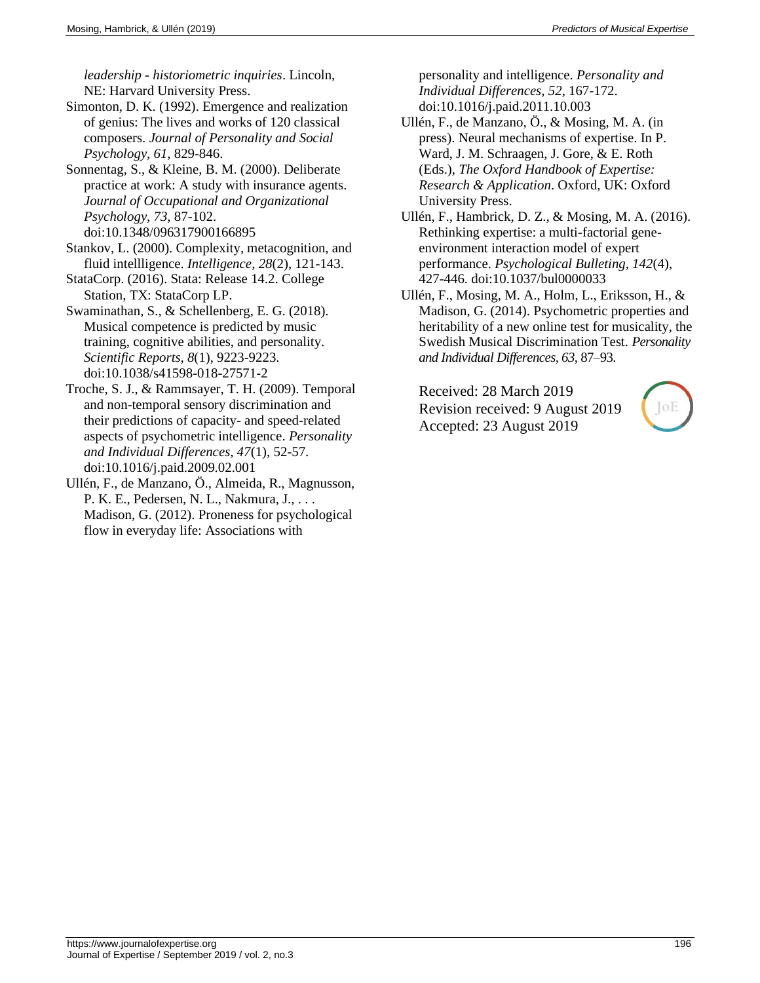*leadership - historiometric inquiries*. Lincoln, NE: Harvard University Press.

Simonton, D. K. (1992). Emergence and realization of genius: The lives and works of 120 classical composers. *Journal of Personality and Social Psychology, 61*, 829-846.

Sonnentag, S., & Kleine, B. M. (2000). Deliberate practice at work: A study with insurance agents. *Journal of Occupational and Organizational Psychology, 73*, 87-102. doi:10.1348/096317900166895

Stankov, L. (2000). Complexity, metacognition, and fluid intellligence. *Intelligence, 28*(2), 121-143.

StataCorp. (2016). Stata: Release 14.2. College Station, TX: StataCorp LP.

Swaminathan, S., & Schellenberg, E. G. (2018). Musical competence is predicted by music training, cognitive abilities, and personality. *Scientific Reports, 8*(1), 9223-9223. doi:10.1038/s41598-018-27571-2

Troche, S. J., & Rammsayer, T. H. (2009). Temporal and non-temporal sensory discrimination and their predictions of capacity- and speed-related aspects of psychometric intelligence. *Personality and Individual Differences, 47*(1), 52-57. doi:10.1016/j.paid.2009.02.001

Ullén, F., de Manzano, Ö., Almeida, R., Magnusson, P. K. E., Pedersen, N. L., Nakmura, J., . . . Madison, G. (2012). Proneness for psychological flow in everyday life: Associations with

personality and intelligence. *Personality and Individual Differences, 52*, 167-172. doi:10.1016/j.paid.2011.10.003

- Ullén, F., de Manzano, Ö., & Mosing, M. A. (in press). Neural mechanisms of expertise. In P. Ward, J. M. Schraagen, J. Gore, & E. Roth (Eds.), *The Oxford Handbook of Expertise: Research & Application*. Oxford, UK: Oxford University Press.
- Ullén, F., Hambrick, D. Z., & Mosing, M. A. (2016). Rethinking expertise: a multi-factorial geneenvironment interaction model of expert performance. *Psychological Bulleting, 142*(4), 427-446. doi:10.1037/bul0000033
- Ullén, F., Mosing, M. A., Holm, L., Eriksson, H., & Madison, G. (2014). Psychometric properties and heritability of a new online test for musicality, the Swedish Musical Discrimination Test. *Personality and Individual Differences, 63*, 87–93.

Received: 28 March 2019 Revision received: 9 August 2019 Accepted: 23 August 2019